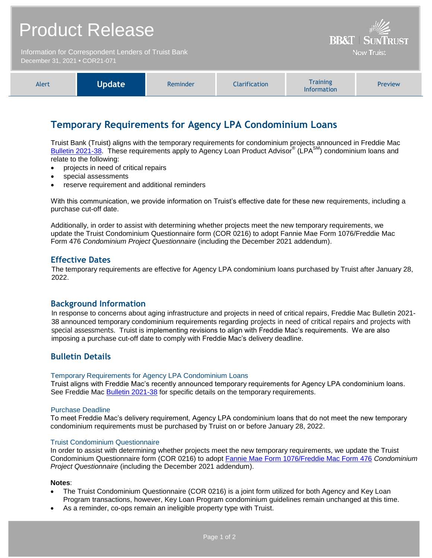# Product Release

Information for Correspondent Lenders of Truist Bank December 31, 2021 **•** COR21-071



**BB&T | SUNTRUST Now Truist** 

# **Temporary Requirements for Agency LPA Condominium Loans**

Truist Bank (Truist) aligns with the temporary requirements for condominium projects announced in Freddie Mac [Bulletin 2021-38.](https://guide.freddiemac.com/ci/okcsFattach/get/1008525_7) These requirements apply to Agency Loan Product Advisor® (LPA<sup>SM</sup>) condominium loans and relate to the following:

- projects in need of critical repairs
- special assessments
- reserve requirement and additional reminders

With this communication, we provide information on Truist's effective date for these new requirements, including a purchase cut-off date.

Additionally, in order to assist with determining whether projects meet the new temporary requirements, we update the Truist Condominium Questionnaire form (COR 0216) to adopt Fannie Mae Form 1076/Freddie Mac Form 476 *Condominium Project Questionnaire* (including the December 2021 addendum).

## **Effective Dates**

The temporary requirements are effective for Agency LPA condominium loans purchased by Truist after January 28, 2022.

### **Background Information**

In response to concerns about aging infrastructure and projects in need of critical repairs, Freddie Mac Bulletin 2021- 38 announced temporary condominium requirements regarding projects in need of critical repairs and projects with special assessments. Truist is implementing revisions to align with Freddie Mac's requirements. We are also imposing a purchase cut-off date to comply with Freddie Mac's delivery deadline.

## **Bulletin Details**

#### Temporary Requirements for Agency LPA Condominium Loans

Truist aligns with Freddie Mac's recently announced temporary requirements for Agency LPA condominium loans. See Freddie Mac [Bulletin 2021-38](https://guide.freddiemac.com/ci/okcsFattach/get/1008525_7) for specific details on the temporary requirements.

#### Purchase Deadline

To meet Freddie Mac's delivery requirement, Agency LPA condominium loans that do not meet the new temporary condominium requirements must be purchased by Truist on or before January 28, 2022.

#### Truist Condominium Questionnaire

In order to assist with determining whether projects meet the new temporary requirements, we update the Truist Condominium Questionnaire form (COR 0216) to adopt [Fannie Mae Form 1076/Freddie Mac Form 476](https://singlefamily.fanniemae.com/media/15656/display) *Condominium Project Questionnaire* (including the December 2021 addendum).

#### **Notes**:

- The Truist Condominium Questionnaire (COR 0216) is a joint form utilized for both Agency and Key Loan Program transactions, however, Key Loan Program condominium guidelines remain unchanged at this time.
- As a reminder, co-ops remain an ineligible property type with Truist.